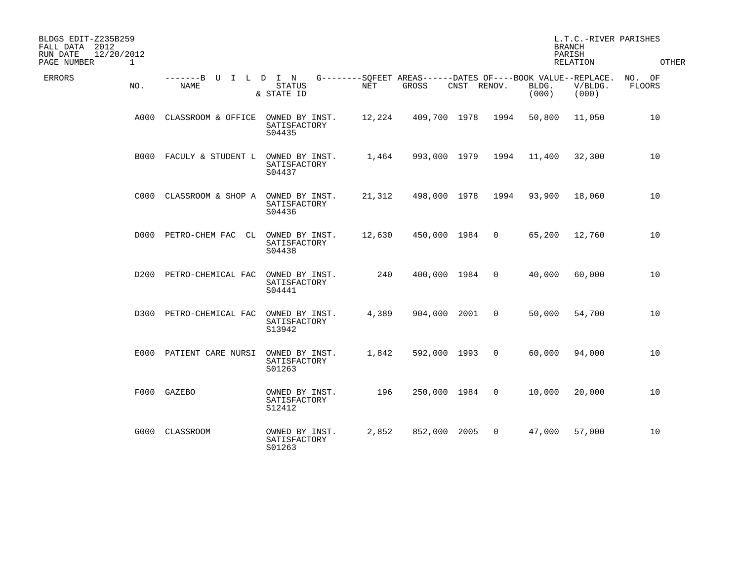| BLDGS EDIT-Z235B259<br>FALL DATA 2012<br>12/20/2012<br>RUN DATE<br>PAGE NUMBER<br>$\mathbf{1}$ |                              |                                          |            |                                                                      |             |                | <b>BRANCH</b><br>PARISH | L.T.C.-RIVER PARISHES<br>RELATION | OTHER                   |
|------------------------------------------------------------------------------------------------|------------------------------|------------------------------------------|------------|----------------------------------------------------------------------|-------------|----------------|-------------------------|-----------------------------------|-------------------------|
| ERRORS<br>NO.                                                                                  | -------B<br>U<br><b>NAME</b> | I L D I N<br>STATUS<br>& STATE ID        | <b>NET</b> | G--------SQFEET AREAS------DATES OF----BOOK VALUE--REPLACE.<br>GROSS | CNST RENOV. |                | BLDG.<br>(000)          | V/BLDG.<br>(000)                  | NO. OF<br><b>FLOORS</b> |
| A000                                                                                           | CLASSROOM & OFFICE           | OWNED BY INST.<br>SATISFACTORY<br>S04435 | 12,224     | 409,700 1978                                                         |             | 1994           | 50,800                  | 11,050                            | 10                      |
| <b>B000</b>                                                                                    | FACULY & STUDENT L           | OWNED BY INST.<br>SATISFACTORY<br>S04437 | 1,464      | 993,000 1979                                                         |             | 1994           | 11,400                  | 32,300                            | 10                      |
| C000                                                                                           | CLASSROOM & SHOP A           | OWNED BY INST.<br>SATISFACTORY<br>S04436 | 21,312     | 498,000 1978                                                         |             | 1994           | 93,900                  | 18,060                            | 10                      |
| D000                                                                                           | PETRO-CHEM FAC<br>CL         | OWNED BY INST.<br>SATISFACTORY<br>S04438 | 12,630     | 450,000 1984                                                         |             | $\overline{0}$ | 65,200                  | 12,760                            | 10                      |
| D200                                                                                           | PETRO-CHEMICAL FAC           | OWNED BY INST.<br>SATISFACTORY<br>S04441 | 240        | 400,000 1984                                                         |             | $\Omega$       | 40,000                  | 60,000                            | 10                      |
| D300                                                                                           | PETRO-CHEMICAL FAC           | OWNED BY INST.<br>SATISFACTORY<br>S13942 | 4,389      | 904,000                                                              | 2001        | 0              | 50,000                  | 54,700                            | 10                      |
|                                                                                                | E000 PATIENT CARE NURSI      | OWNED BY INST.<br>SATISFACTORY<br>S01263 | 1,842      | 592,000 1993                                                         |             | $\mathbf 0$    | 60,000                  | 94,000                            | 10                      |
| F000                                                                                           | GAZEBO                       | OWNED BY INST.<br>SATISFACTORY<br>S12412 | 196        | 250,000 1984                                                         |             | 0              | 10,000                  | 20,000                            | 10                      |
| G000                                                                                           | CLASSROOM                    | OWNED BY INST.<br>SATISFACTORY<br>S01263 | 2,852      | 852,000                                                              | 2005        | $\mathbf 0$    | 47,000                  | 57,000                            | 10                      |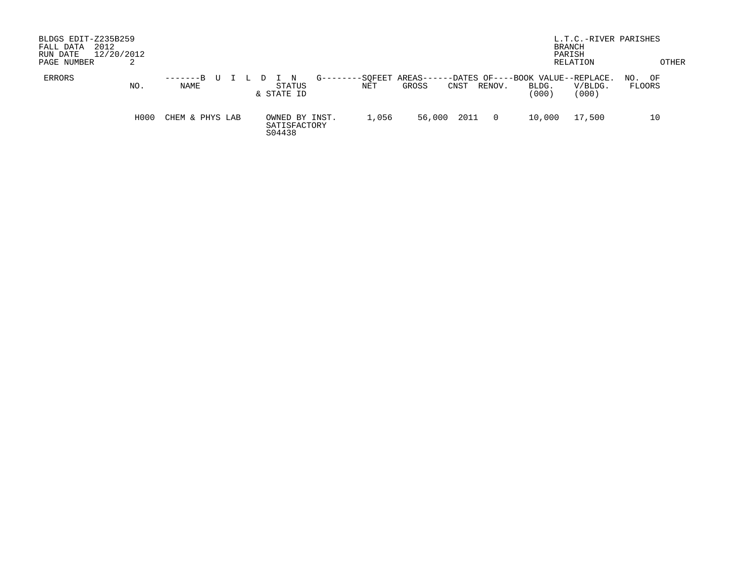| BLDGS EDIT-Z235B259<br>FALL DATA<br>RUN DATE<br>PAGE NUMBER | 2012<br>12/20/2012<br>∠ |                           |                                          |                        |                     |      |                | <b>BRANCH</b><br>PARISH                              | L.T.C.-RIVER PARISHES<br>RELATION |                     | OTHER |
|-------------------------------------------------------------|-------------------------|---------------------------|------------------------------------------|------------------------|---------------------|------|----------------|------------------------------------------------------|-----------------------------------|---------------------|-------|
| ERRORS                                                      | NO.                     | $-----B$ U<br><b>NAME</b> | STATUS<br>& STATE ID                     | G--------SQFEET<br>NET | AREAS-----<br>GROSS | CNST | RENOV.         | --DATES OF----BOOK VALUE--REPLACE.<br>BLDG.<br>(000) | V/BLDG.<br>(000)                  | OF<br>NO.<br>FLOORS |       |
|                                                             | H000                    | CHEM & PHYS LAB           | OWNED BY INST.<br>SATISFACTORY<br>S04438 | 1,056                  | 56,000              | 2011 | $\overline{0}$ | 10,000                                               | 17,500                            |                     | 10    |